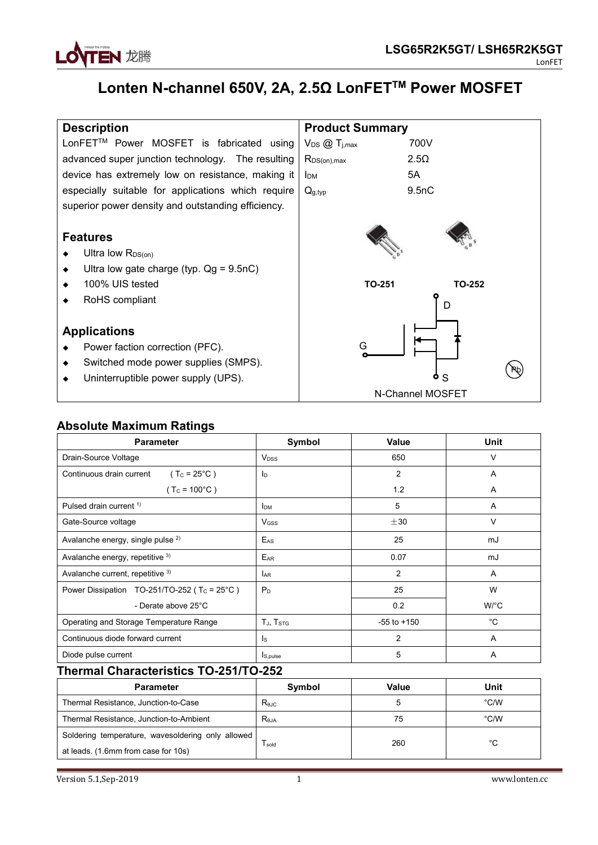

# **Lonten N-channel 650V, 2A, 2.5Ω LonFET TM Power MOSFET**

| <b>Description</b>                                                                      | <b>Product Summary</b>             |               |
|-----------------------------------------------------------------------------------------|------------------------------------|---------------|
| LonFET™ Power MOSFET is fabricated using                                                | $V_{DS}$ $\mathcal{Q}$ $T_{j,max}$ | 700V          |
| advanced super junction technology. The resulting                                       | $R_{DS(on),max}$                   | $2.5\Omega$   |
| device has extremely low on resistance, making it                                       | <b>I</b> <sub>DM</sub>             | 5A            |
| especially suitable for applications which require                                      | $Q_{g,typ}$                        | 9.5nC         |
| superior power density and outstanding efficiency.                                      |                                    |               |
| <b>Features</b><br>Ultra low $R_{DS(on)}$<br>Ultra low gate charge (typ. $Qg = 9.5nC$ ) |                                    |               |
| 100% UIS tested                                                                         | <b>TO-251</b>                      | <b>TO-252</b> |
| RoHS compliant                                                                          |                                    | D             |
| <b>Applications</b>                                                                     |                                    |               |
| Power faction correction (PFC).                                                         | G                                  |               |

- Switched mode power supplies (SMPS).
- Uninterruptible power supply (UPS).



 $\mathsf{s}$   $\mathsf{v}$ 

**โล**ก

## **Absolute Maximum Ratings**

| <b>Parameter</b>                                        | Symbol                  | Value           | <b>Unit</b>          |
|---------------------------------------------------------|-------------------------|-----------------|----------------------|
| Drain-Source Voltage                                    | <b>V</b> <sub>pss</sub> | 650             | V                    |
| Continuous drain current<br>$(T_c = 25^{\circ}C)$       | I <sub>D</sub>          | $\overline{2}$  | Α                    |
| $(T_c = 100^{\circ}C)$                                  |                         | 1.2             | A                    |
| Pulsed drain current <sup>1)</sup>                      | <b>I</b> <sub>DM</sub>  | 5               | Α                    |
| Gate-Source voltage                                     | $V$ <sub>GSS</sub>      | ±30             | V                    |
| Avalanche energy, single pulse <sup>2)</sup>            | $E_{AS}$                | 25              | mJ                   |
| Avalanche energy, repetitive 3)                         | EAR                     | 0.07            | mJ                   |
| Avalanche current, repetitive 3)                        | <b>LAR</b>              | $\overline{2}$  | A                    |
| Power Dissipation TO-251/TO-252 ( $T_c = 25^{\circ}C$ ) | P <sub>D</sub>          | 25              | W                    |
| - Derate above 25°C                                     |                         | 0.2             | $W$ <sup>o</sup> $C$ |
| Operating and Storage Temperature Range                 | TJ, T <sub>STG</sub>    | $-55$ to $+150$ | °C                   |
| Continuous diode forward current                        | Is                      | $\overline{2}$  | A                    |
| Diode pulse current                                     | $I_{S, pulse}$          | 5               | Α                    |

## **Thermal Characteristics TO-251/TO-252**

| <b>Parameter</b>                                  | Symbol            | Value | Unit |
|---------------------------------------------------|-------------------|-------|------|
| Thermal Resistance, Junction-to-Case              | $R_{0,IC}$        |       | °C/W |
| Thermal Resistance, Junction-to-Ambient           | R <sub>0.1A</sub> | 75    | °C/W |
| Soldering temperature, wavesoldering only allowed |                   | 260   | °C   |
| at leads. (1.6mm from case for 10s)               | l sold            |       |      |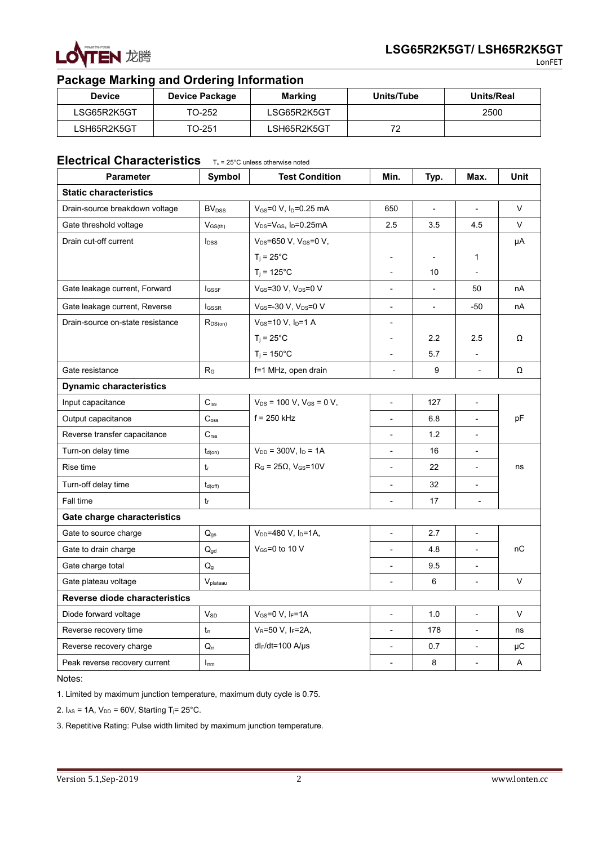

## **Package Marking and Ordering Information**

| <b>Device</b> | Device Package | <b>Marking</b> | Units/Tube     | Units/Real |
|---------------|----------------|----------------|----------------|------------|
| LSG65R2K5GT   | TO-252         | LSG65R2K5GT    |                | 2500       |
| LSH65R2K5GT   | TO-251         | LSH65R2K5GT    | 70<br><u>_</u> |            |

## **Electrical Characteristics** T<sub>c</sub> = 25°C unless otherwise noted

| <b>Parameter</b>                 | Symbol                        | <b>Test Condition</b>                         | Min.                     | Typ.                     | Max.                     | Unit   |
|----------------------------------|-------------------------------|-----------------------------------------------|--------------------------|--------------------------|--------------------------|--------|
| <b>Static characteristics</b>    |                               |                                               |                          |                          |                          |        |
| Drain-source breakdown voltage   | <b>BV</b> <sub>DSS</sub>      | $V_{GS} = 0 V$ , $I_D = 0.25$ mA              | 650                      | $\blacksquare$           | $\blacksquare$           | V      |
| Gate threshold voltage           | $V_{\text{GS(th)}}$           | $V_{DS} = V_{GS}$ , I <sub>D</sub> =0.25mA    | 2.5                      | 3.5                      | 4.5                      | $\vee$ |
| Drain cut-off current            | <b>l</b> <sub>DSS</sub>       | V <sub>DS</sub> =650 V, V <sub>GS</sub> =0 V, |                          |                          |                          | μA     |
|                                  |                               | $T_i = 25^{\circ}C$                           | $\overline{a}$           | $\overline{a}$           | $\mathbf{1}$             |        |
|                                  |                               | $T_i = 125^{\circ}C$                          | $\overline{a}$           | 10                       | $\overline{a}$           |        |
| Gate leakage current, Forward    | <b>I</b> GSSF                 | VGS=30 V, VDS=0 V                             | $\overline{a}$           | $\overline{a}$           | 50                       | nA     |
| Gate leakage current, Reverse    | <b>I</b> GSSR                 | $V_{GS}$ =-30 V, V <sub>DS</sub> =0 V         | $\overline{\phantom{a}}$ | $\overline{\phantom{a}}$ | $-50$                    | nA     |
| Drain-source on-state resistance | $R_{DS(on)}$                  | $V_{GS}$ =10 V, $I_D$ =1 A                    | $\overline{a}$           |                          |                          |        |
|                                  |                               | $T_i = 25^{\circ}C$                           | $\overline{a}$           | 2.2                      | 2.5                      | Ω      |
|                                  |                               | $T_i = 150^{\circ}C$                          | $\overline{\phantom{a}}$ | 5.7                      | $\overline{\phantom{a}}$ |        |
| Gate resistance                  | R <sub>G</sub>                | f=1 MHz, open drain                           | $\overline{\phantom{a}}$ | 9                        | $\overline{\phantom{a}}$ | Ω      |
| <b>Dynamic characteristics</b>   |                               |                                               |                          |                          |                          |        |
| Input capacitance                | $C_{iss}$                     | $V_{DS}$ = 100 V, $V_{GS}$ = 0 V,             | $\overline{a}$           | 127                      | $\overline{a}$           |        |
| Output capacitance               | $C_{\text{oss}}$              | $f = 250$ kHz                                 | $\overline{\phantom{a}}$ | 6.8                      | $\overline{\phantom{a}}$ | pF     |
| Reverse transfer capacitance     | $C_{\text{rss}}$              |                                               | $\overline{\phantom{0}}$ | 1.2                      | $\overline{\phantom{a}}$ |        |
| Turn-on delay time               | $t_{d(on)}$                   | $V_{DD} = 300V, I_D = 1A$                     | $\overline{a}$           | 16                       | $\overline{\phantom{a}}$ |        |
| Rise time                        | $t_{r}$                       | $RG$ = 25 $\Omega$ , V <sub>GS</sub> =10V     | $\overline{\phantom{a}}$ | 22                       | $\overline{\phantom{a}}$ | ns     |
| Turn-off delay time              | $t_{\text{d(off)}}$           |                                               | $\overline{a}$           | 32                       | $\overline{a}$           |        |
| Fall time                        | $t_{\rm f}$                   |                                               | $\overline{\phantom{a}}$ | 17                       | $\overline{\phantom{a}}$ |        |
| Gate charge characteristics      |                               |                                               |                          |                          |                          |        |
| Gate to source charge            | $\mathsf{Q}_{\text{gs}}$      | $V_{DD} = 480 V, I_D = 1A,$                   | $\overline{\phantom{a}}$ | 2.7                      | $\overline{\phantom{a}}$ |        |
| Gate to drain charge             | $\mathbf{Q}_{gd}$             | $V$ <sub>GS</sub> =0 to 10 V                  | $\overline{\phantom{0}}$ | 4.8                      | $\overline{\phantom{a}}$ | nC     |
| Gate charge total                | $Q_{g}$                       |                                               | $\overline{a}$           | 9.5                      | $\overline{\phantom{a}}$ |        |
| Gate plateau voltage             | $\mathsf{V}_{\text{plateau}}$ |                                               | $\overline{\phantom{a}}$ | 6                        | $\overline{\phantom{a}}$ | V      |
| Reverse diode characteristics    |                               |                                               |                          |                          |                          |        |
| Diode forward voltage            | $V_{SD}$                      | $V_{GS}=0 V$ , IF=1A                          | $\overline{\phantom{a}}$ | 1.0                      | $\overline{\phantom{a}}$ | V      |
| Reverse recovery time            | $t_{rr}$                      | $V_R = 50 V, I_F = 2A,$                       | $\overline{\phantom{a}}$ | 178                      | $\overline{\phantom{a}}$ | ns     |
| Reverse recovery charge          | $\mathsf{Q}_\mathsf{rr}$      | $dl_F/dt = 100$ A/ $\mu$ s                    | $\overline{a}$           | 0.7                      | ÷,                       | μC     |
| Peak reverse recovery current    | $I_{\text{rrm}}$              |                                               | $\overline{a}$           | 8                        | $\overline{a}$           | Α      |

Notes:

1. Limited by maximum junction temperature, maximum duty cycle is 0.75.

2.  $I_{AS}$  = 1A,  $V_{DD}$  = 60V, Starting T<sub>j</sub> = 25°C.

3. Repetitive Rating: Pulse width limited by maximum junction temperature.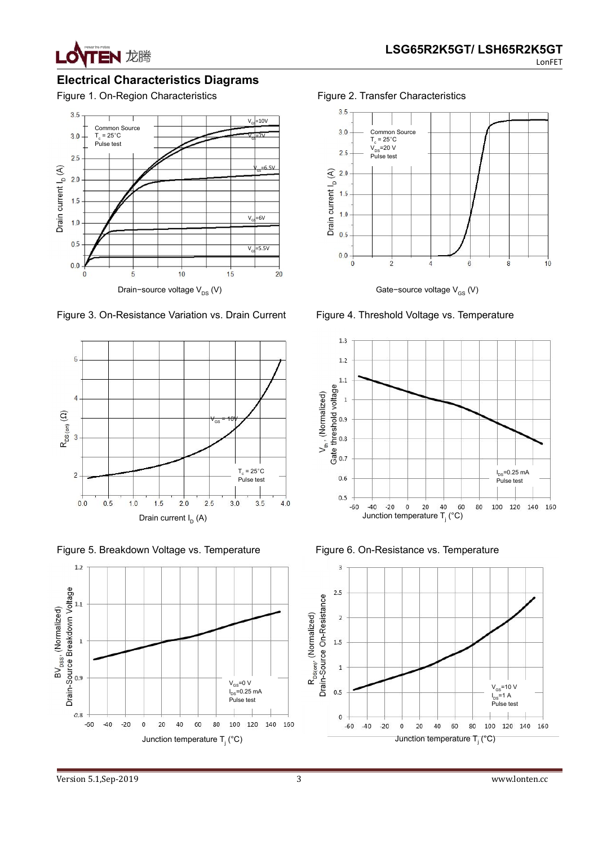

## **Electrical Characteristics Diagrams**



Figure 3. On-Resistance Variation vs. Drain Current Figure 4. Threshold Voltage vs. Temperature



Figure 5. Breakdown Voltage vs. Temperature Figure 6. On-Resistance vs. Temperature







Gate−source voltage V<sub>GS</sub> (V)





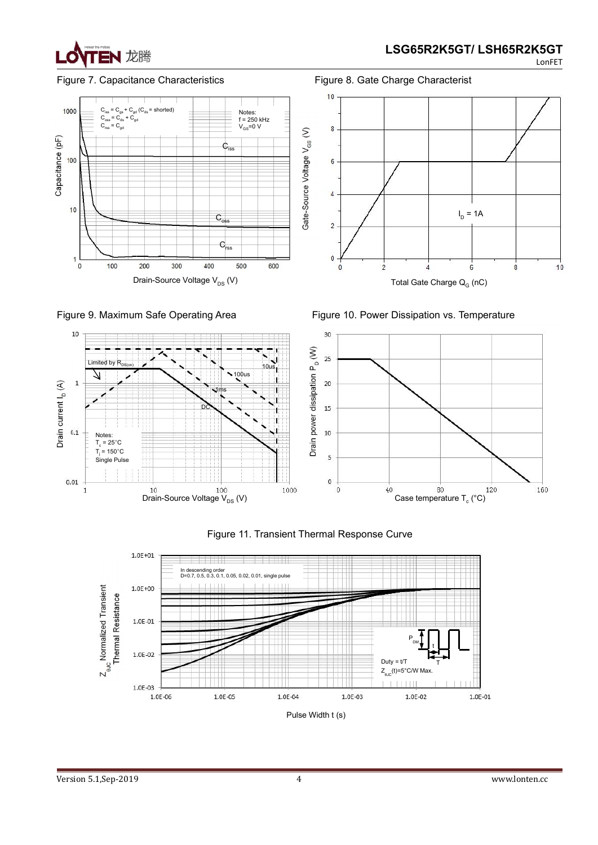













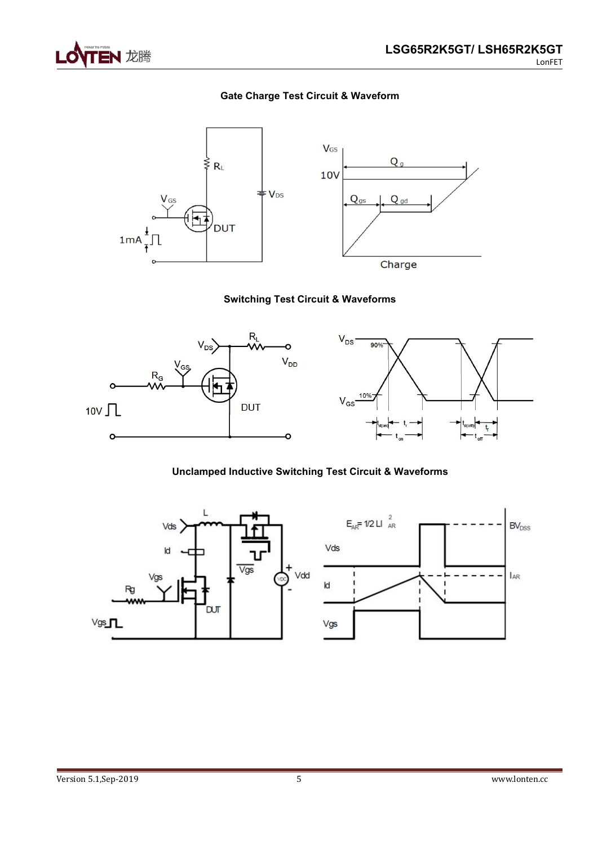

## **Gate Charge Test Circuit & Waveform**



## **Switching Test Circuit & Waveforms**



### **Unclamped Inductive Switching Test Circuit & Waveforms**

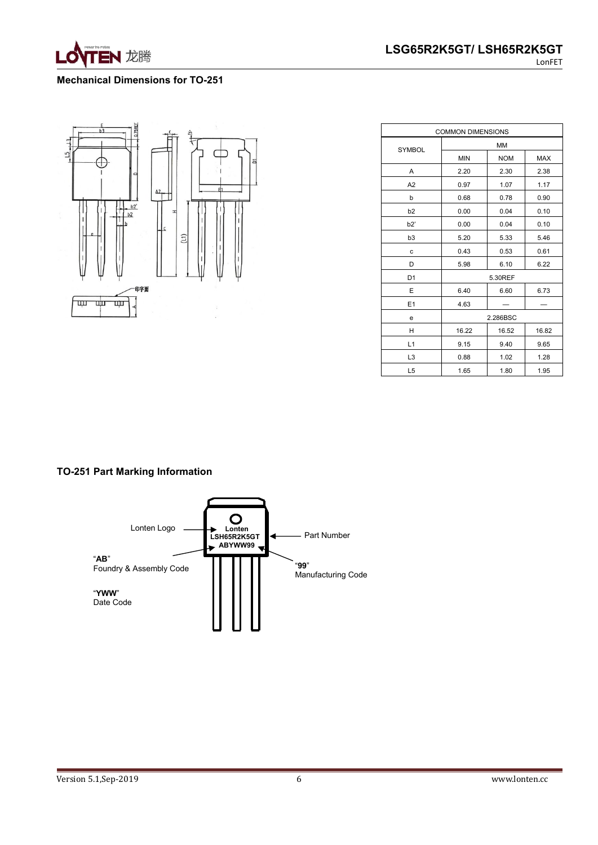

#### **Mechanical Dimensions for TO-251**



| <b>COMMON DIMENSIONS</b> |            |            |       |  |
|--------------------------|------------|------------|-------|--|
| SYMBOL                   |            | <b>MM</b>  |       |  |
|                          | <b>MIN</b> | <b>NOM</b> | MAX   |  |
| A                        | 2.20       | 2.30       | 2.38  |  |
| A2                       | 0.97       | 1.07       | 1.17  |  |
| b                        | 0.68       | 0.78       | 0.90  |  |
| b2                       | 0.00       | 0.04       | 0.10  |  |
| b2'                      | 0.00       | 0.04       | 0.10  |  |
| b <sub>3</sub>           | 5.20       | 5.33       | 5.46  |  |
| $\mathbf c$              | 0.43       | 0.53       | 0.61  |  |
| D                        | 5.98       | 6.10       | 6.22  |  |
| D <sub>1</sub>           |            | 5.30REF    |       |  |
| E                        | 6.40       | 6.60       | 6.73  |  |
| E1                       | 4.63       |            |       |  |
| e                        |            | 2.286BSC   |       |  |
| н                        | 16.22      | 16.52      | 16.82 |  |
| L1                       | 9.15       | 9.40       | 9.65  |  |
| L <sub>3</sub>           | 0.88       | 1.02       | 1.28  |  |
| L <sub>5</sub>           | 1.65       | 1.80       | 1.95  |  |

### **TO-251 Part Marking Information**

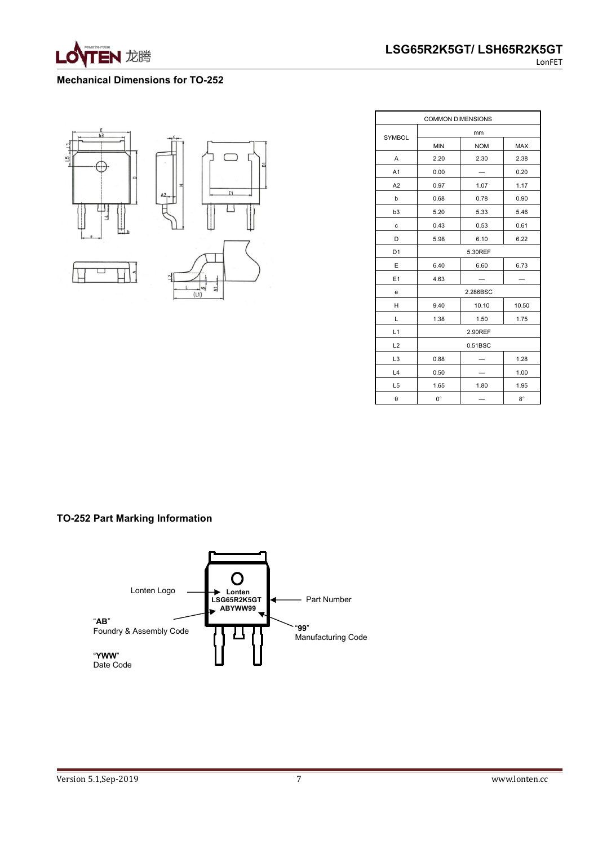

#### **Mechanical Dimensions for TO-252**



|                | <b>COMMON DIMENSIONS</b> |            |             |  |
|----------------|--------------------------|------------|-------------|--|
| SYMBOL         |                          | mm         |             |  |
|                | <b>MIN</b>               | <b>NOM</b> | <b>MAX</b>  |  |
| A              | 2.20                     | 2.30       | 2.38        |  |
| A <sub>1</sub> | 0.00                     |            | 0.20        |  |
| A2             | 0.97                     | 1.07       | 1.17        |  |
| b              | 0.68                     | 0.78       | 0.90        |  |
| b <sub>3</sub> | 5.20                     | 5.33       | 5.46        |  |
| $\mathbf c$    | 0.43                     | 0.53       | 0.61        |  |
| D              | 5.98                     | 6.10       | 6.22        |  |
| D <sub>1</sub> |                          | 5.30REF    |             |  |
| E              | 6.40                     | 6.60       | 6.73        |  |
| E <sub>1</sub> | 4.63                     |            |             |  |
| e              | 2.286BSC                 |            |             |  |
| H              | 9.40                     | 10.10      | 10.50       |  |
| L              | 1.38                     | 1.50       | 1.75        |  |
| L1             | 2.90REF                  |            |             |  |
| L2             |                          | 0.51BSC    |             |  |
| L <sub>3</sub> | 0.88                     |            | 1.28        |  |
| L4             | 0.50                     |            | 1.00        |  |
| L <sub>5</sub> | 1.65                     | 1.80       | 1.95        |  |
| θ              | $0^{\circ}$              |            | $8^{\circ}$ |  |

## **TO-252 Part Marking Information**